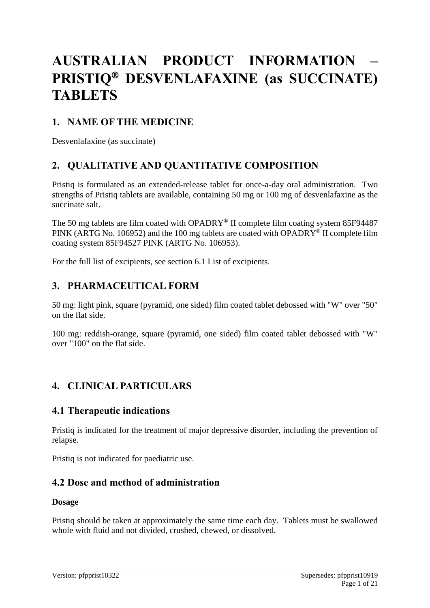# **AUSTRALIAN PRODUCT INFORMATION – PRISTIQ DESVENLAFAXINE (as SUCCINATE) TABLETS**

# **1. NAME OF THE MEDICINE**

Desvenlafaxine (as succinate)

# **2. QUALITATIVE AND QUANTITATIVE COMPOSITION**

Pristiq is formulated as an extended-release tablet for once-a-day oral administration. Two strengths of Pristiq tablets are available, containing 50 mg or 100 mg of desvenlafaxine as the succinate salt.

The 50 mg tablets are film coated with OPADRY® II complete film coating system 85F94487 PINK (ARTG No. 106952) and the 100 mg tablets are coated with OPADRY<sup>®</sup> II complete film coating system 85F94527 PINK (ARTG No. 106953).

For the full list of excipients, see section 6.1 List of excipients.

# **3. PHARMACEUTICAL FORM**

50 mg: light pink, square (pyramid, one sided) film coated tablet debossed with "W" over "50" on the flat side.

100 mg: reddish-orange, square (pyramid, one sided) film coated tablet debossed with "W" over "100" on the flat side.

# **4. CLINICAL PARTICULARS**

# **4.1 Therapeutic indications**

Pristiq is indicated for the treatment of major depressive disorder, including the prevention of relapse.

Pristiq is not indicated for paediatric use.

# **4.2 Dose and method of administration**

#### **Dosage**

Pristiq should be taken at approximately the same time each day. Tablets must be swallowed whole with fluid and not divided, crushed, chewed, or dissolved.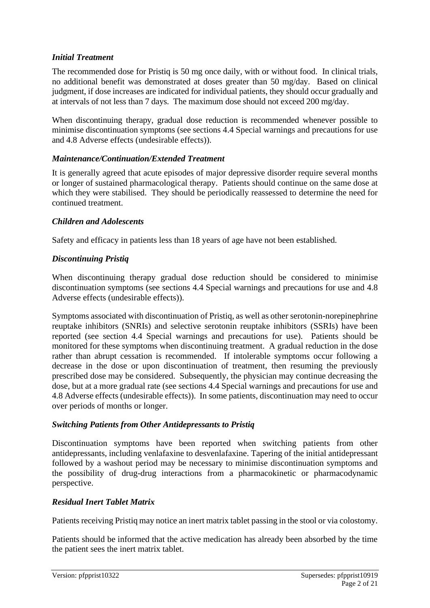#### *Initial Treatment*

The recommended dose for Pristiq is 50 mg once daily, with or without food. In clinical trials, no additional benefit was demonstrated at doses greater than 50 mg/day. Based on clinical judgment, if dose increases are indicated for individual patients, they should occur gradually and at intervals of not less than 7 days. The maximum dose should not exceed 200 mg/day.

When discontinuing therapy, gradual dose reduction is recommended whenever possible to minimise discontinuation symptoms (see sections 4.4 Special warnings and precautions for use and 4.8 Adverse effects (undesirable effects)).

#### *Maintenance/Continuation/Extended Treatment*

It is generally agreed that acute episodes of major depressive disorder require several months or longer of sustained pharmacological therapy. Patients should continue on the same dose at which they were stabilised. They should be periodically reassessed to determine the need for continued treatment.

#### *Children and Adolescents*

Safety and efficacy in patients less than 18 years of age have not been established.

#### *Discontinuing Pristiq*

When discontinuing therapy gradual dose reduction should be considered to minimise discontinuation symptoms (see sections 4.4 Special warnings and precautions for use and 4.8 Adverse effects (undesirable effects)).

Symptoms associated with discontinuation of Pristiq, as well as other serotonin-norepinephrine reuptake inhibitors (SNRIs) and selective serotonin reuptake inhibitors (SSRIs) have been reported (see section 4.4 Special warnings and precautions for use). Patients should be monitored for these symptoms when discontinuing treatment. A gradual reduction in the dose rather than abrupt cessation is recommended. If intolerable symptoms occur following a decrease in the dose or upon discontinuation of treatment, then resuming the previously prescribed dose may be considered. Subsequently, the physician may continue decreasing the dose, but at a more gradual rate (see sections 4.4 Special warnings and precautions for use and 4.8 Adverse effects (undesirable effects)). In some patients, discontinuation may need to occur over periods of months or longer.

#### *Switching Patients from Other Antidepressants to Pristiq*

Discontinuation symptoms have been reported when switching patients from other antidepressants, including venlafaxine to desvenlafaxine. Tapering of the initial antidepressant followed by a washout period may be necessary to minimise discontinuation symptoms and the possibility of drug-drug interactions from a pharmacokinetic or pharmacodynamic perspective.

#### *Residual Inert Tablet Matrix*

Patients receiving Pristiq may notice an inert matrix tablet passing in the stool or via colostomy.

Patients should be informed that the active medication has already been absorbed by the time the patient sees the inert matrix tablet.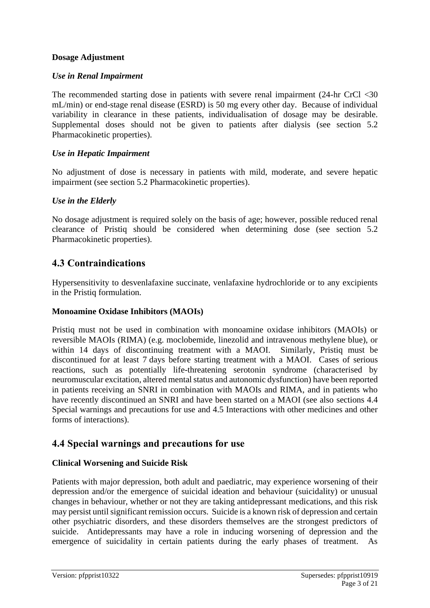#### **Dosage Adjustment**

#### *Use in Renal Impairment*

The recommended starting dose in patients with severe renal impairment (24-hr CrCl <30 mL/min) or end-stage renal disease (ESRD) is 50 mg every other day. Because of individual variability in clearance in these patients, individualisation of dosage may be desirable. Supplemental doses should not be given to patients after dialysis (see section 5.2 Pharmacokinetic properties).

#### *Use in Hepatic Impairment*

No adjustment of dose is necessary in patients with mild, moderate, and severe hepatic impairment (see section 5.2 Pharmacokinetic properties).

#### *Use in the Elderly*

No dosage adjustment is required solely on the basis of age; however, possible reduced renal clearance of Pristiq should be considered when determining dose (see section 5.2 Pharmacokinetic properties).

### **4.3 Contraindications**

Hypersensitivity to desvenlafaxine succinate, venlafaxine hydrochloride or to any excipients in the Pristiq formulation.

#### **Monoamine Oxidase Inhibitors (MAOIs)**

Pristiq must not be used in combination with monoamine oxidase inhibitors (MAOIs) or reversible MAOIs (RIMA) (e.g. moclobemide, linezolid and intravenous methylene blue), or within 14 days of discontinuing treatment with a MAOI. Similarly, Pristiq must be discontinued for at least 7 days before starting treatment with a MAOI. Cases of serious reactions, such as potentially life-threatening serotonin syndrome (characterised by neuromuscular excitation, altered mental status and autonomic dysfunction) have been reported in patients receiving an SNRI in combination with MAOIs and RIMA, and in patients who have recently discontinued an SNRI and have been started on a MAOI (see also sections 4.4 Special warnings and precautions for use and 4.5 Interactions with other medicines and other forms of interactions).

### **4.4 Special warnings and precautions for use**

#### **Clinical Worsening and Suicide Risk**

Patients with major depression, both adult and paediatric, may experience worsening of their depression and/or the emergence of suicidal ideation and behaviour (suicidality) or unusual changes in behaviour, whether or not they are taking antidepressant medications, and this risk may persist until significant remission occurs. Suicide is a known risk of depression and certain other psychiatric disorders, and these disorders themselves are the strongest predictors of suicide. Antidepressants may have a role in inducing worsening of depression and the emergence of suicidality in certain patients during the early phases of treatment. As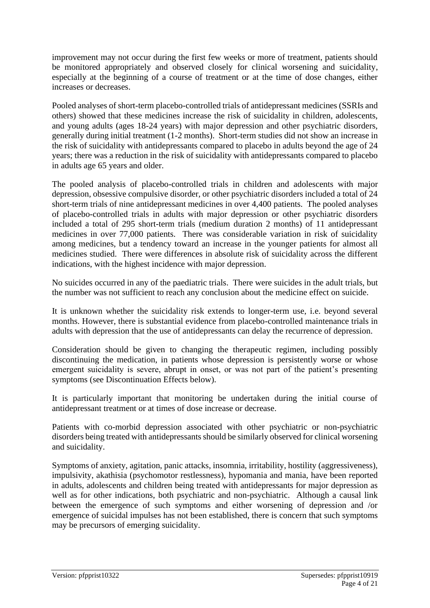improvement may not occur during the first few weeks or more of treatment, patients should be monitored appropriately and observed closely for clinical worsening and suicidality, especially at the beginning of a course of treatment or at the time of dose changes, either increases or decreases.

Pooled analyses of short-term placebo-controlled trials of antidepressant medicines (SSRIs and others) showed that these medicines increase the risk of suicidality in children, adolescents, and young adults (ages 18-24 years) with major depression and other psychiatric disorders, generally during initial treatment (1-2 months). Short-term studies did not show an increase in the risk of suicidality with antidepressants compared to placebo in adults beyond the age of 24 years; there was a reduction in the risk of suicidality with antidepressants compared to placebo in adults age 65 years and older.

The pooled analysis of placebo-controlled trials in children and adolescents with major depression, obsessive compulsive disorder, or other psychiatric disorders included a total of 24 short-term trials of nine antidepressant medicines in over 4,400 patients. The pooled analyses of placebo-controlled trials in adults with major depression or other psychiatric disorders included a total of 295 short-term trials (medium duration 2 months) of 11 antidepressant medicines in over 77,000 patients. There was considerable variation in risk of suicidality among medicines, but a tendency toward an increase in the younger patients for almost all medicines studied. There were differences in absolute risk of suicidality across the different indications, with the highest incidence with major depression.

No suicides occurred in any of the paediatric trials. There were suicides in the adult trials, but the number was not sufficient to reach any conclusion about the medicine effect on suicide.

It is unknown whether the suicidality risk extends to longer-term use, i.e. beyond several months. However, there is substantial evidence from placebo-controlled maintenance trials in adults with depression that the use of antidepressants can delay the recurrence of depression.

Consideration should be given to changing the therapeutic regimen, including possibly discontinuing the medication, in patients whose depression is persistently worse or whose emergent suicidality is severe, abrupt in onset, or was not part of the patient's presenting symptoms (see Discontinuation Effects below).

It is particularly important that monitoring be undertaken during the initial course of antidepressant treatment or at times of dose increase or decrease.

Patients with co-morbid depression associated with other psychiatric or non-psychiatric disorders being treated with antidepressants should be similarly observed for clinical worsening and suicidality.

Symptoms of anxiety, agitation, panic attacks, insomnia, irritability, hostility (aggressiveness), impulsivity, akathisia (psychomotor restlessness), hypomania and mania, have been reported in adults, adolescents and children being treated with antidepressants for major depression as well as for other indications, both psychiatric and non-psychiatric. Although a causal link between the emergence of such symptoms and either worsening of depression and /or emergence of suicidal impulses has not been established, there is concern that such symptoms may be precursors of emerging suicidality.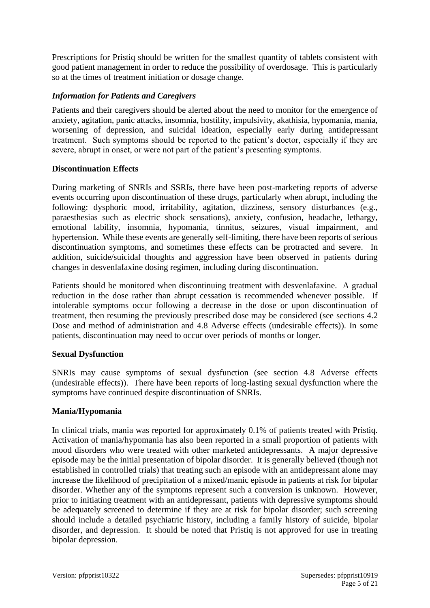Prescriptions for Pristiq should be written for the smallest quantity of tablets consistent with good patient management in order to reduce the possibility of overdosage. This is particularly so at the times of treatment initiation or dosage change.

### *Information for Patients and Caregivers*

Patients and their caregivers should be alerted about the need to monitor for the emergence of anxiety, agitation, panic attacks, insomnia, hostility, impulsivity, akathisia, hypomania, mania, worsening of depression, and suicidal ideation, especially early during antidepressant treatment. Such symptoms should be reported to the patient's doctor, especially if they are severe, abrupt in onset, or were not part of the patient's presenting symptoms.

### **Discontinuation Effects**

During marketing of SNRIs and SSRIs, there have been post-marketing reports of adverse events occurring upon discontinuation of these drugs, particularly when abrupt, including the following: dysphoric mood, irritability, agitation, dizziness, sensory disturbances (e.g., paraesthesias such as electric shock sensations), anxiety, confusion, headache, lethargy, emotional lability, insomnia, hypomania, tinnitus, seizures, visual impairment, and hypertension. While these events are generally self-limiting, there have been reports of serious discontinuation symptoms, and sometimes these effects can be protracted and severe. In addition, suicide/suicidal thoughts and aggression have been observed in patients during changes in desvenlafaxine dosing regimen, including during discontinuation.

Patients should be monitored when discontinuing treatment with desvenlafaxine. A gradual reduction in the dose rather than abrupt cessation is recommended whenever possible. If intolerable symptoms occur following a decrease in the dose or upon discontinuation of treatment, then resuming the previously prescribed dose may be considered (see sections 4.2 Dose and method of administration and 4.8 Adverse effects (undesirable effects)). In some patients, discontinuation may need to occur over periods of months or longer.

### **Sexual Dysfunction**

SNRIs may cause symptoms of sexual dysfunction (see section 4.8 Adverse effects (undesirable effects)). There have been reports of long-lasting sexual dysfunction where the symptoms have continued despite discontinuation of SNRIs.

### **Mania/Hypomania**

In clinical trials, mania was reported for approximately 0.1% of patients treated with Pristiq. Activation of mania/hypomania has also been reported in a small proportion of patients with mood disorders who were treated with other marketed antidepressants. A major depressive episode may be the initial presentation of bipolar disorder. It is generally believed (though not established in controlled trials) that treating such an episode with an antidepressant alone may increase the likelihood of precipitation of a mixed/manic episode in patients at risk for bipolar disorder. Whether any of the symptoms represent such a conversion is unknown. However, prior to initiating treatment with an antidepressant, patients with depressive symptoms should be adequately screened to determine if they are at risk for bipolar disorder; such screening should include a detailed psychiatric history, including a family history of suicide, bipolar disorder, and depression. It should be noted that Pristiq is not approved for use in treating bipolar depression.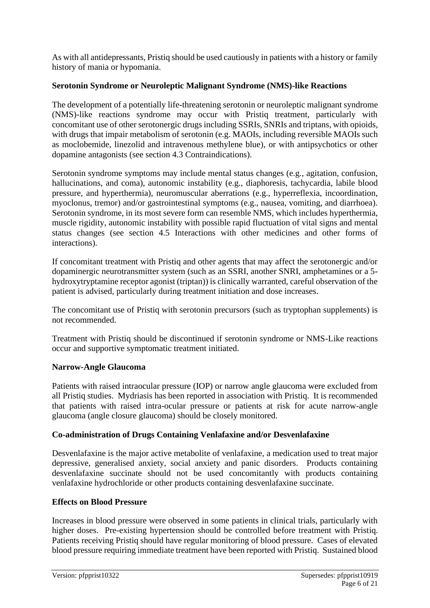As with all antidepressants, Pristiq should be used cautiously in patients with a history or family history of mania or hypomania.

#### **Serotonin Syndrome or Neuroleptic Malignant Syndrome (NMS)-like Reactions**

The development of a potentially life-threatening serotonin or neuroleptic malignant syndrome (NMS)-like reactions syndrome may occur with Pristiq treatment, particularly with concomitant use of other serotonergic drugs including SSRIs, SNRIs and triptans, with opioids, with drugs that impair metabolism of serotonin (e.g. MAOIs, including reversible MAOIs such as moclobemide, linezolid and intravenous methylene blue), or with antipsychotics or other dopamine antagonists (see section 4.3 Contraindications).

Serotonin syndrome symptoms may include mental status changes (e.g., agitation, confusion, hallucinations, and coma), autonomic instability (e.g., diaphoresis, tachycardia, labile blood pressure, and hyperthermia), neuromuscular aberrations (e.g., hyperreflexia, incoordination, myoclonus, tremor) and/or gastrointestinal symptoms (e.g., nausea, vomiting, and diarrhoea). Serotonin syndrome, in its most severe form can resemble NMS, which includes hyperthermia, muscle rigidity, autonomic instability with possible rapid fluctuation of vital signs and mental status changes (see section 4.5 Interactions with other medicines and other forms of interactions).

If concomitant treatment with Pristiq and other agents that may affect the serotonergic and/or dopaminergic neurotransmitter system (such as an SSRI, another SNRI, amphetamines or a 5 hydroxytryptamine receptor agonist (triptan)) is clinically warranted, careful observation of the patient is advised, particularly during treatment initiation and dose increases.

The concomitant use of Pristiq with serotonin precursors (such as tryptophan supplements) is not recommended.

Treatment with Pristiq should be discontinued if serotonin syndrome or NMS-Like reactions occur and supportive symptomatic treatment initiated.

#### **Narrow-Angle Glaucoma**

Patients with raised intraocular pressure (IOP) or narrow angle glaucoma were excluded from all Pristiq studies. Mydriasis has been reported in association with Pristiq. It is recommended that patients with raised intra-ocular pressure or patients at risk for acute narrow-angle glaucoma (angle closure glaucoma) should be closely monitored.

### **Co-administration of Drugs Containing Venlafaxine and/or Desvenlafaxine**

Desvenlafaxine is the major active metabolite of venlafaxine, a medication used to treat major depressive, generalised anxiety, social anxiety and panic disorders. Products containing desvenlafaxine succinate should not be used concomitantly with products containing venlafaxine hydrochloride or other products containing desvenlafaxine succinate.

#### **Effects on Blood Pressure**

Increases in blood pressure were observed in some patients in clinical trials, particularly with higher doses. Pre-existing hypertension should be controlled before treatment with Pristiq. Patients receiving Pristiq should have regular monitoring of blood pressure. Cases of elevated blood pressure requiring immediate treatment have been reported with Pristiq. Sustained blood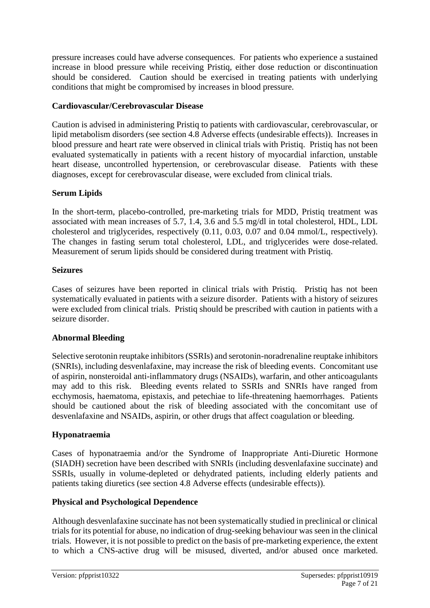pressure increases could have adverse consequences. For patients who experience a sustained increase in blood pressure while receiving Pristiq, either dose reduction or discontinuation should be considered. Caution should be exercised in treating patients with underlying conditions that might be compromised by increases in blood pressure.

#### **Cardiovascular/Cerebrovascular Disease**

Caution is advised in administering Pristiq to patients with cardiovascular, cerebrovascular, or lipid metabolism disorders (see section 4.8 Adverse effects (undesirable effects)). Increases in blood pressure and heart rate were observed in clinical trials with Pristiq. Pristiq has not been evaluated systematically in patients with a recent history of myocardial infarction, unstable heart disease, uncontrolled hypertension, or cerebrovascular disease. Patients with these diagnoses, except for cerebrovascular disease, were excluded from clinical trials.

### **Serum Lipids**

In the short-term, placebo-controlled, pre-marketing trials for MDD, Pristiq treatment was associated with mean increases of 5.7, 1.4, 3.6 and 5.5 mg/dl in total cholesterol, HDL, LDL cholesterol and triglycerides, respectively (0.11, 0.03, 0.07 and 0.04 mmol/L, respectively). The changes in fasting serum total cholesterol, LDL, and triglycerides were dose-related. Measurement of serum lipids should be considered during treatment with Pristiq.

#### **Seizures**

Cases of seizures have been reported in clinical trials with Pristiq. Pristiq has not been systematically evaluated in patients with a seizure disorder. Patients with a history of seizures were excluded from clinical trials. Pristiq should be prescribed with caution in patients with a seizure disorder.

### **Abnormal Bleeding**

Selective serotonin reuptake inhibitors (SSRIs) and serotonin-noradrenaline reuptake inhibitors (SNRIs), including desvenlafaxine, may increase the risk of bleeding events. Concomitant use of aspirin, nonsteroidal anti-inflammatory drugs (NSAIDs), warfarin, and other anticoagulants may add to this risk. Bleeding events related to SSRIs and SNRIs have ranged from ecchymosis, haematoma, epistaxis, and petechiae to life-threatening haemorrhages. Patients should be cautioned about the risk of bleeding associated with the concomitant use of desvenlafaxine and NSAIDs, aspirin, or other drugs that affect coagulation or bleeding.

### **Hyponatraemia**

Cases of hyponatraemia and/or the Syndrome of Inappropriate Anti-Diuretic Hormone (SIADH) secretion have been described with SNRIs (including desvenlafaxine succinate) and SSRIs, usually in volume-depleted or dehydrated patients, including elderly patients and patients taking diuretics (see section 4.8 Adverse effects (undesirable effects)).

### **Physical and Psychological Dependence**

Although desvenlafaxine succinate has not been systematically studied in preclinical or clinical trials for its potential for abuse, no indication of drug-seeking behaviour was seen in the clinical trials. However, it is not possible to predict on the basis of pre-marketing experience, the extent to which a CNS-active drug will be misused, diverted, and/or abused once marketed.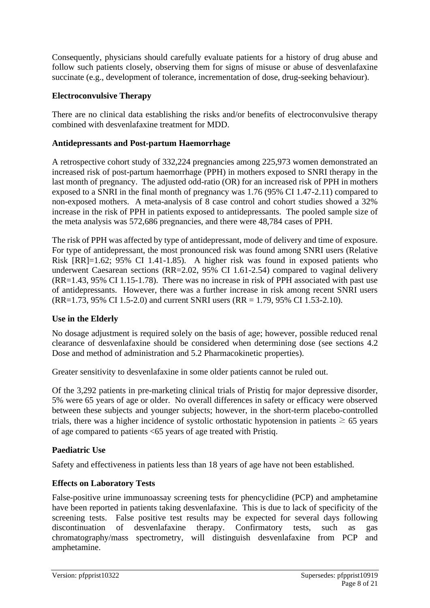Consequently, physicians should carefully evaluate patients for a history of drug abuse and follow such patients closely, observing them for signs of misuse or abuse of desvenlafaxine succinate (e.g., development of tolerance, incrementation of dose, drug-seeking behaviour).

#### **Electroconvulsive Therapy**

There are no clinical data establishing the risks and/or benefits of electroconvulsive therapy combined with desvenlafaxine treatment for MDD.

#### **Antidepressants and Post-partum Haemorrhage**

A retrospective cohort study of 332,224 pregnancies among 225,973 women demonstrated an increased risk of post-partum haemorrhage (PPH) in mothers exposed to SNRI therapy in the last month of pregnancy. The adjusted odd-ratio (OR) for an increased risk of PPH in mothers exposed to a SNRI in the final month of pregnancy was 1.76 (95% CI 1.47-2.11) compared to non-exposed mothers. A meta-analysis of 8 case control and cohort studies showed a 32% increase in the risk of PPH in patients exposed to antidepressants. The pooled sample size of the meta analysis was 572,686 pregnancies, and there were 48,784 cases of PPH.

The risk of PPH was affected by type of antidepressant, mode of delivery and time of exposure. For type of antidepressant, the most pronounced risk was found among SNRI users (Relative Risk [RR]=1.62; 95% CI 1.41-1.85). A higher risk was found in exposed patients who underwent Caesarean sections (RR=2.02, 95% CI 1.61-2.54) compared to vaginal delivery (RR=1.43, 95% CI 1.15-1.78). There was no increase in risk of PPH associated with past use of antidepressants. However, there was a further increase in risk among recent SNRI users (RR=1.73, 95% CI 1.5-2.0) and current SNRI users (RR = 1.79, 95% CI 1.53-2.10).

#### **Use in the Elderly**

No dosage adjustment is required solely on the basis of age; however, possible reduced renal clearance of desvenlafaxine should be considered when determining dose (see sections 4.2 Dose and method of administration and 5.2 Pharmacokinetic properties).

Greater sensitivity to desvenlafaxine in some older patients cannot be ruled out.

Of the 3,292 patients in pre-marketing clinical trials of Pristiq for major depressive disorder, 5% were 65 years of age or older. No overall differences in safety or efficacy were observed between these subjects and younger subjects; however, in the short-term placebo-controlled trials, there was a higher incidence of systolic orthostatic hypotension in patients  $\geq 65$  years of age compared to patients <65 years of age treated with Pristiq.

#### **Paediatric Use**

Safety and effectiveness in patients less than 18 years of age have not been established.

### **Effects on Laboratory Tests**

False-positive urine immunoassay screening tests for phencyclidine (PCP) and amphetamine have been reported in patients taking desvenlafaxine. This is due to lack of specificity of the screening tests. False positive test results may be expected for several days following discontinuation of desvenlafaxine therapy. Confirmatory tests, such as gas chromatography/mass spectrometry, will distinguish desvenlafaxine from PCP and amphetamine.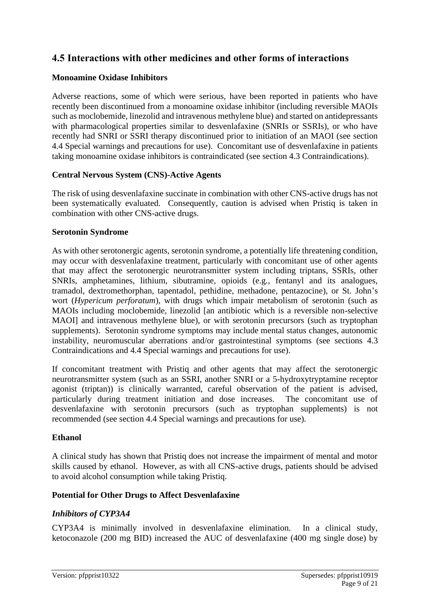# **4.5 Interactions with other medicines and other forms of interactions**

#### **Monoamine Oxidase Inhibitors**

Adverse reactions, some of which were serious, have been reported in patients who have recently been discontinued from a monoamine oxidase inhibitor (including reversible MAOIs such as moclobemide, linezolid and intravenous methylene blue) and started on antidepressants with pharmacological properties similar to desvenlafaxine (SNRIs or SSRIs), or who have recently had SNRI or SSRI therapy discontinued prior to initiation of an MAOI (see section 4.4 Special warnings and precautions for use). Concomitant use of desvenlafaxine in patients taking monoamine oxidase inhibitors is contraindicated (see section 4.3 Contraindications).

#### **Central Nervous System (CNS)-Active Agents**

The risk of using desvenlafaxine succinate in combination with other CNS-active drugs has not been systematically evaluated. Consequently, caution is advised when Pristiq is taken in combination with other CNS-active drugs.

#### **Serotonin Syndrome**

As with other serotonergic agents, serotonin syndrome, a potentially life threatening condition, may occur with desvenlafaxine treatment, particularly with concomitant use of other agents that may affect the serotonergic neurotransmitter system including triptans, SSRIs, other SNRIs, amphetamines, lithium, sibutramine, opioids (e.g., fentanyl and its analogues, tramadol, dextromethorphan, tapentadol, pethidine, methadone, pentazocine), or St. John's wort (*Hypericum perforatum*), with drugs which impair metabolism of serotonin (such as MAOIs including moclobemide, linezolid [an antibiotic which is a reversible non-selective MAOI] and intravenous methylene blue), or with serotonin precursors (such as tryptophan supplements). Serotonin syndrome symptoms may include mental status changes, autonomic instability, neuromuscular aberrations and/or gastrointestinal symptoms (see sections 4.3 Contraindications and 4.4 Special warnings and precautions for use).

If concomitant treatment with Pristiq and other agents that may affect the serotonergic neurotransmitter system (such as an SSRI, another SNRI or a 5-hydroxytryptamine receptor agonist (triptan)) is clinically warranted, careful observation of the patient is advised, particularly during treatment initiation and dose increases. The concomitant use of desvenlafaxine with serotonin precursors (such as tryptophan supplements) is not recommended (see section 4.4 Special warnings and precautions for use).

### **Ethanol**

A clinical study has shown that Pristiq does not increase the impairment of mental and motor skills caused by ethanol. However, as with all CNS-active drugs, patients should be advised to avoid alcohol consumption while taking Pristiq.

### **Potential for Other Drugs to Affect Desvenlafaxine**

### *Inhibitors of CYP3A4*

CYP3A4 is minimally involved in desvenlafaxine elimination. In a clinical study, ketoconazole (200 mg BID) increased the AUC of desvenlafaxine (400 mg single dose) by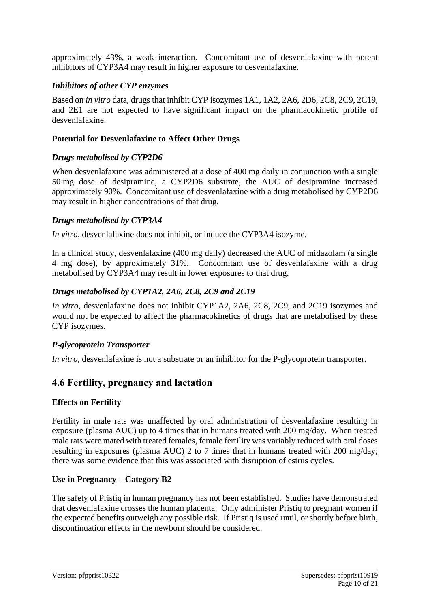approximately 43%, a weak interaction. Concomitant use of desvenlafaxine with potent inhibitors of CYP3A4 may result in higher exposure to desvenlafaxine.

#### *Inhibitors of other CYP enzymes*

Based on *in vitro* data, drugs that inhibit CYP isozymes 1A1, 1A2, 2A6, 2D6, 2C8, 2C9, 2C19, and 2E1 are not expected to have significant impact on the pharmacokinetic profile of desvenlafaxine.

#### **Potential for Desvenlafaxine to Affect Other Drugs**

#### *Drugs metabolised by CYP2D6*

When desvenlafaxine was administered at a dose of 400 mg daily in conjunction with a single 50 mg dose of desipramine, a CYP2D6 substrate, the AUC of desipramine increased approximately 90%. Concomitant use of desvenlafaxine with a drug metabolised by CYP2D6 may result in higher concentrations of that drug.

#### *Drugs metabolised by CYP3A4*

*In vitro*, desvenlafaxine does not inhibit, or induce the CYP3A4 isozyme.

In a clinical study, desvenlafaxine (400 mg daily) decreased the AUC of midazolam (a single 4 mg dose), by approximately 31%. Concomitant use of desvenlafaxine with a drug metabolised by CYP3A4 may result in lower exposures to that drug.

#### *Drugs metabolised by CYP1A2, 2A6, 2C8, 2C9 and 2C19*

*In vitro*, desvenlafaxine does not inhibit CYP1A2, 2A6, 2C8, 2C9, and 2C19 isozymes and would not be expected to affect the pharmacokinetics of drugs that are metabolised by these CYP isozymes.

#### *P-glycoprotein Transporter*

*In vitro*, desvenlafaxine is not a substrate or an inhibitor for the P-glycoprotein transporter.

# **4.6 Fertility, pregnancy and lactation**

### **Effects on Fertility**

Fertility in male rats was unaffected by oral administration of desvenlafaxine resulting in exposure (plasma AUC) up to 4 times that in humans treated with 200 mg/day. When treated male rats were mated with treated females, female fertility was variably reduced with oral doses resulting in exposures (plasma AUC) 2 to 7 times that in humans treated with 200 mg/day; there was some evidence that this was associated with disruption of estrus cycles.

#### **Use in Pregnancy – Category B2**

The safety of Pristiq in human pregnancy has not been established. Studies have demonstrated that desvenlafaxine crosses the human placenta. Only administer Pristiq to pregnant women if the expected benefits outweigh any possible risk. If Pristiq is used until, or shortly before birth, discontinuation effects in the newborn should be considered.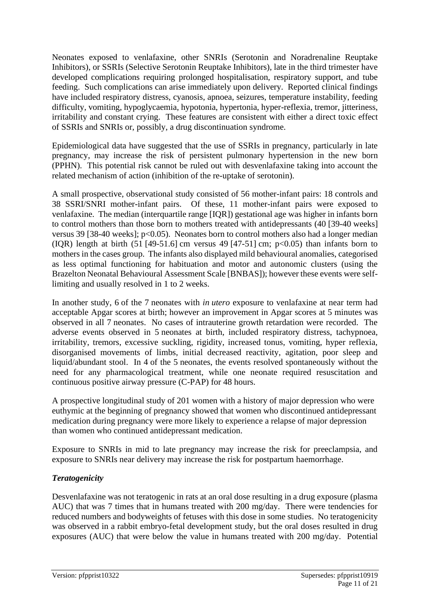Neonates exposed to venlafaxine, other SNRIs (Serotonin and Noradrenaline Reuptake Inhibitors), or SSRIs (Selective Serotonin Reuptake Inhibitors), late in the third trimester have developed complications requiring prolonged hospitalisation, respiratory support, and tube feeding. Such complications can arise immediately upon delivery. Reported clinical findings have included respiratory distress, cyanosis, apnoea, seizures, temperature instability, feeding difficulty, vomiting, hypoglycaemia, hypotonia, hypertonia, hyper-reflexia, tremor, jitteriness, irritability and constant crying. These features are consistent with either a direct toxic effect of SSRIs and SNRIs or, possibly, a drug discontinuation syndrome.

Epidemiological data have suggested that the use of SSRIs in pregnancy, particularly in late pregnancy, may increase the risk of persistent pulmonary hypertension in the new born (PPHN). This potential risk cannot be ruled out with desvenlafaxine taking into account the related mechanism of action (inhibition of the re-uptake of serotonin).

A small prospective, observational study consisted of 56 mother-infant pairs: 18 controls and 38 SSRI/SNRI mother-infant pairs. Of these, 11 mother-infant pairs were exposed to venlafaxine. The median (interquartile range [IQR]) gestational age was higher in infants born to control mothers than those born to mothers treated with antidepressants (40 [39-40 weeks] versus 39 [38-40 weeks]; p<0.05). Neonates born to control mothers also had a longer median (IQR) length at birth  $(51 \mid 49-51.6)$  cm versus  $49 \mid 47-51$  cm;  $p<0.05$ ) than infants born to mothers in the cases group. The infants also displayed mild behavioural anomalies, categorised as less optimal functioning for habituation and motor and autonomic clusters (using the Brazelton Neonatal Behavioural Assessment Scale [BNBAS]); however these events were selflimiting and usually resolved in 1 to 2 weeks.

In another study, 6 of the 7 neonates with *in utero* exposure to venlafaxine at near term had acceptable Apgar scores at birth; however an improvement in Apgar scores at 5 minutes was observed in all 7 neonates. No cases of intrauterine growth retardation were recorded. The adverse events observed in 5 neonates at birth, included respiratory distress, tachypnoea, irritability, tremors, excessive suckling, rigidity, increased tonus, vomiting, hyper reflexia, disorganised movements of limbs, initial decreased reactivity, agitation, poor sleep and liquid/abundant stool. In 4 of the 5 neonates, the events resolved spontaneously without the need for any pharmacological treatment, while one neonate required resuscitation and continuous positive airway pressure (C-PAP) for 48 hours.

A prospective longitudinal study of 201 women with a history of major depression who were euthymic at the beginning of pregnancy showed that women who discontinued antidepressant medication during pregnancy were more likely to experience a relapse of major depression than women who continued antidepressant medication.

Exposure to SNRIs in mid to late pregnancy may increase the risk for preeclampsia, and exposure to SNRIs near delivery may increase the risk for postpartum haemorrhage.

### *Teratogenicity*

Desvenlafaxine was not teratogenic in rats at an oral dose resulting in a drug exposure (plasma AUC) that was 7 times that in humans treated with 200 mg/day. There were tendencies for reduced numbers and bodyweights of fetuses with this dose in some studies. No teratogenicity was observed in a rabbit embryo-fetal development study, but the oral doses resulted in drug exposures (AUC) that were below the value in humans treated with 200 mg/day. Potential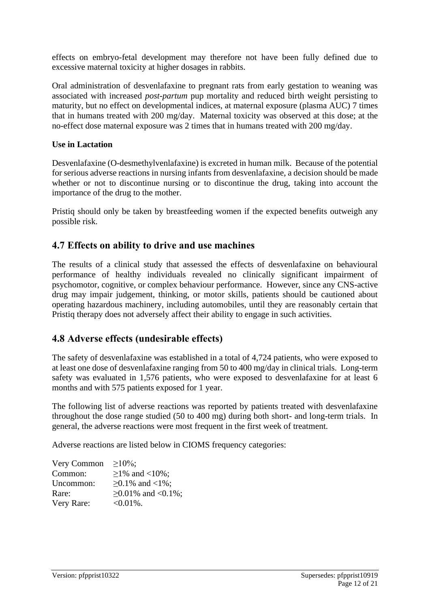effects on embryo-fetal development may therefore not have been fully defined due to excessive maternal toxicity at higher dosages in rabbits.

Oral administration of desvenlafaxine to pregnant rats from early gestation to weaning was associated with increased *post-partum* pup mortality and reduced birth weight persisting to maturity, but no effect on developmental indices, at maternal exposure (plasma AUC) 7 times that in humans treated with 200 mg/day. Maternal toxicity was observed at this dose; at the no-effect dose maternal exposure was 2 times that in humans treated with 200 mg/day.

#### **Use in Lactation**

Desvenlafaxine (O-desmethylvenlafaxine) is excreted in human milk. Because of the potential for serious adverse reactions in nursing infants from desvenlafaxine, a decision should be made whether or not to discontinue nursing or to discontinue the drug, taking into account the importance of the drug to the mother.

Pristiq should only be taken by breastfeeding women if the expected benefits outweigh any possible risk.

# **4.7 Effects on ability to drive and use machines**

The results of a clinical study that assessed the effects of desvenlafaxine on behavioural performance of healthy individuals revealed no clinically significant impairment of psychomotor, cognitive, or complex behaviour performance. However, since any CNS-active drug may impair judgement, thinking, or motor skills, patients should be cautioned about operating hazardous machinery, including automobiles, until they are reasonably certain that Pristiq therapy does not adversely affect their ability to engage in such activities.

# **4.8 Adverse effects (undesirable effects)**

The safety of desvenlafaxine was established in a total of 4,724 patients, who were exposed to at least one dose of desvenlafaxine ranging from 50 to 400 mg/day in clinical trials. Long-term safety was evaluated in 1,576 patients, who were exposed to desvenlafaxine for at least 6 months and with 575 patients exposed for 1 year.

The following list of adverse reactions was reported by patients treated with desvenlafaxine throughout the dose range studied (50 to 400 mg) during both short- and long-term trials. In general, the adverse reactions were most frequent in the first week of treatment.

Adverse reactions are listed below in CIOMS frequency categories:

| Very Common | $\geq 10\%$ ;            |
|-------------|--------------------------|
| Common:     | $≥1\%$ and <10%;         |
| Uncommon:   | $≥0.1\%$ and <1%;        |
| Rare:       | $\geq 0.01\%$ and <0.1%; |
| Very Rare:  | $<0.01\%$ .              |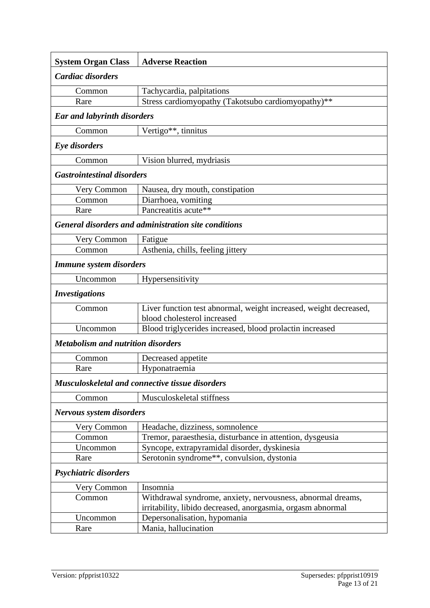| <b>System Organ Class</b>                                   | <b>Adverse Reaction</b>                                                                                                    |  |
|-------------------------------------------------------------|----------------------------------------------------------------------------------------------------------------------------|--|
| Cardiac disorders                                           |                                                                                                                            |  |
| Common                                                      | Tachycardia, palpitations                                                                                                  |  |
| Rare                                                        | Stress cardiomyopathy (Takotsubo cardiomyopathy)**                                                                         |  |
| <b>Ear and labyrinth disorders</b>                          |                                                                                                                            |  |
| Common                                                      | Vertigo**, tinnitus                                                                                                        |  |
| Eye disorders                                               |                                                                                                                            |  |
| Common                                                      | Vision blurred, mydriasis                                                                                                  |  |
| <b>Gastrointestinal disorders</b>                           |                                                                                                                            |  |
| Very Common                                                 | Nausea, dry mouth, constipation                                                                                            |  |
| Common                                                      | Diarrhoea, vomiting                                                                                                        |  |
| Rare                                                        | Pancreatitis acute**                                                                                                       |  |
| <b>General disorders and administration site conditions</b> |                                                                                                                            |  |
| Very Common                                                 | Fatigue                                                                                                                    |  |
| Common                                                      | Asthenia, chills, feeling jittery                                                                                          |  |
| Immune system disorders                                     |                                                                                                                            |  |
| Uncommon                                                    | Hypersensitivity                                                                                                           |  |
| <b>Investigations</b>                                       |                                                                                                                            |  |
| Common                                                      | Liver function test abnormal, weight increased, weight decreased,<br>blood cholesterol increased                           |  |
| Uncommon                                                    | Blood triglycerides increased, blood prolactin increased                                                                   |  |
| <b>Metabolism and nutrition disorders</b>                   |                                                                                                                            |  |
| Common                                                      | Decreased appetite                                                                                                         |  |
| Rare                                                        | Hyponatraemia                                                                                                              |  |
| Musculoskeletal and connective tissue disorders             |                                                                                                                            |  |
| Common                                                      | Musculoskeletal stiffness                                                                                                  |  |
| <b>Nervous system disorders</b>                             |                                                                                                                            |  |
| Very Common                                                 | Headache, dizziness, somnolence                                                                                            |  |
| Common                                                      | Tremor, paraesthesia, disturbance in attention, dysgeusia                                                                  |  |
| Uncommon                                                    | Syncope, extrapyramidal disorder, dyskinesia                                                                               |  |
| Rare                                                        | Serotonin syndrome**, convulsion, dystonia                                                                                 |  |
| Psychiatric disorders                                       |                                                                                                                            |  |
| Very Common                                                 | Insomnia                                                                                                                   |  |
| Common                                                      | Withdrawal syndrome, anxiety, nervousness, abnormal dreams,<br>irritability, libido decreased, anorgasmia, orgasm abnormal |  |
| Uncommon                                                    | Depersonalisation, hypomania                                                                                               |  |
| Rare                                                        | Mania, hallucination                                                                                                       |  |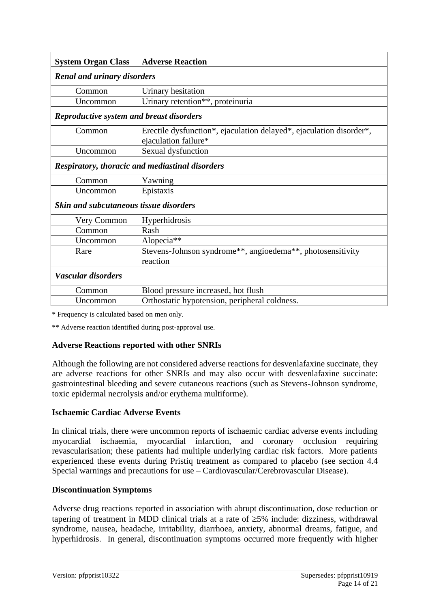| <b>System Organ Class</b>                              | <b>Adverse Reaction</b>                                                                     |  |
|--------------------------------------------------------|---------------------------------------------------------------------------------------------|--|
| <b>Renal and urinary disorders</b>                     |                                                                                             |  |
| Common                                                 | Urinary hesitation                                                                          |  |
| Uncommon                                               | Urinary retention**, proteinuria                                                            |  |
| <b>Reproductive system and breast disorders</b>        |                                                                                             |  |
| Common                                                 | Erectile dysfunction*, ejaculation delayed*, ejaculation disorder*,<br>ejaculation failure* |  |
| Uncommon                                               | Sexual dysfunction                                                                          |  |
| <b>Respiratory, thoracic and mediastinal disorders</b> |                                                                                             |  |
| Common                                                 | Yawning                                                                                     |  |
| Uncommon                                               | Epistaxis                                                                                   |  |
| <b>Skin and subcutaneous tissue disorders</b>          |                                                                                             |  |
| Very Common                                            | Hyperhidrosis                                                                               |  |
| Common                                                 | Rash                                                                                        |  |
| Uncommon                                               | Alopecia**                                                                                  |  |
| Rare                                                   | Stevens-Johnson syndrome**, angioedema**, photosensitivity                                  |  |
|                                                        | reaction                                                                                    |  |
| Vascular disorders                                     |                                                                                             |  |
| Common                                                 | Blood pressure increased, hot flush                                                         |  |
| Uncommon                                               | Orthostatic hypotension, peripheral coldness.                                               |  |

\* Frequency is calculated based on men only.

\*\* Adverse reaction identified during post-approval use.

#### **Adverse Reactions reported with other SNRIs**

Although the following are not considered adverse reactions for desvenlafaxine succinate, they are adverse reactions for other SNRIs and may also occur with desvenlafaxine succinate: gastrointestinal bleeding and severe cutaneous reactions (such as Stevens-Johnson syndrome, toxic epidermal necrolysis and/or erythema multiforme).

#### **Ischaemic Cardiac Adverse Events**

In clinical trials, there were uncommon reports of ischaemic cardiac adverse events including myocardial ischaemia, myocardial infarction, and coronary occlusion requiring revascularisation; these patients had multiple underlying cardiac risk factors. More patients experienced these events during Pristiq treatment as compared to placebo (see section 4.4 Special warnings and precautions for use – Cardiovascular/Cerebrovascular Disease).

#### **Discontinuation Symptoms**

Adverse drug reactions reported in association with abrupt discontinuation, dose reduction or tapering of treatment in MDD clinical trials at a rate of  $\geq$ 5% include: dizziness, withdrawal syndrome, nausea, headache, irritability, diarrhoea, anxiety, abnormal dreams, fatigue, and hyperhidrosis. In general, discontinuation symptoms occurred more frequently with higher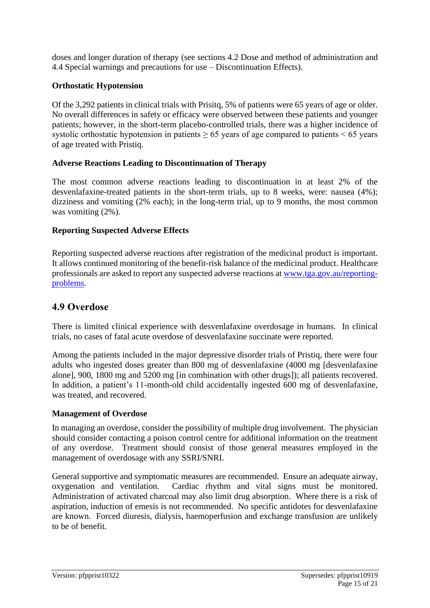doses and longer duration of therapy (see sections 4.2 Dose and method of administration and 4.4 Special warnings and precautions for use – Discontinuation Effects).

#### **Orthostatic Hypotension**

Of the 3,292 patients in clinical trials with Prisitq, 5% of patients were 65 years of age or older. No overall differences in safety or efficacy were observed between these patients and younger patients; however, in the short-term placebo-controlled trials, there was a higher incidence of systolic orthostatic hypotension in patients  $\geq 65$  years of age compared to patients  $\leq 65$  years of age treated with Pristiq.

#### **Adverse Reactions Leading to Discontinuation of Therapy**

The most common adverse reactions leading to discontinuation in at least 2% of the desvenlafaxine-treated patients in the short-term trials, up to 8 weeks, were: nausea (4%); dizziness and vomiting (2% each); in the long-term trial, up to 9 months, the most common was vomiting (2%).

#### **Reporting Suspected Adverse Effects**

Reporting suspected adverse reactions after registration of the medicinal product is important. It allows continued monitoring of the benefit-risk balance of the medicinal product. Healthcare professionals are asked to report any suspected adverse reactions at [www.tga.gov.au/reporting](http://www.tga.gov.au/reporting-problems)[problems.](http://www.tga.gov.au/reporting-problems)

# **4.9 Overdose**

There is limited clinical experience with desvenlafaxine overdosage in humans. In clinical trials, no cases of fatal acute overdose of desvenlafaxine succinate were reported.

Among the patients included in the major depressive disorder trials of Pristiq, there were four adults who ingested doses greater than 800 mg of desvenlafaxine (4000 mg [desvenlafaxine alone], 900, 1800 mg and 5200 mg [in combination with other drugs]); all patients recovered. In addition, a patient's 11-month-old child accidentally ingested 600 mg of desvenlafaxine, was treated, and recovered.

#### **Management of Overdose**

In managing an overdose, consider the possibility of multiple drug involvement. The physician should consider contacting a poison control centre for additional information on the treatment of any overdose. Treatment should consist of those general measures employed in the management of overdosage with any SSRI/SNRI.

General supportive and symptomatic measures are recommended. Ensure an adequate airway, oxygenation and ventilation. Cardiac rhythm and vital signs must be monitored. Administration of activated charcoal may also limit drug absorption. Where there is a risk of aspiration, induction of emesis is not recommended. No specific antidotes for desvenlafaxine are known. Forced diuresis, dialysis, haemoperfusion and exchange transfusion are unlikely to be of benefit.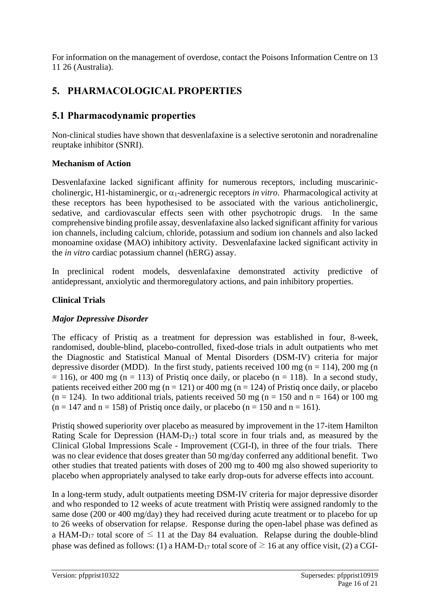For information on the management of overdose, contact the Poisons Information Centre on 13 11 26 (Australia).

# **5. PHARMACOLOGICAL PROPERTIES**

# **5.1 Pharmacodynamic properties**

Non-clinical studies have shown that desvenlafaxine is a selective serotonin and noradrenaline reuptake inhibitor (SNRI).

### **Mechanism of Action**

Desvenlafaxine lacked significant affinity for numerous receptors, including muscariniccholinergic, H1-histaminergic, or  $\alpha_1$ -adrenergic receptors *in vitro*. Pharmacological activity at these receptors has been hypothesised to be associated with the various anticholinergic, sedative, and cardiovascular effects seen with other psychotropic drugs. In the same comprehensive binding profile assay, desvenlafaxine also lacked significant affinity for various ion channels, including calcium, chloride, potassium and sodium ion channels and also lacked monoamine oxidase (MAO) inhibitory activity. Desvenlafaxine lacked significant activity in the *in vitro* cardiac potassium channel (hERG) assay.

In preclinical rodent models, desvenlafaxine demonstrated activity predictive of antidepressant, anxiolytic and thermoregulatory actions, and pain inhibitory properties.

### **Clinical Trials**

### *Major Depressive Disorder*

The efficacy of Pristiq as a treatment for depression was established in four, 8-week, randomised, double-blind, placebo-controlled, fixed-dose trials in adult outpatients who met the Diagnostic and Statistical Manual of Mental Disorders (DSM-IV) criteria for major depressive disorder (MDD). In the first study, patients received 100 mg (n = 114), 200 mg (n  $= 116$ ), or 400 mg (n = 113) of Pristiq once daily, or placebo (n = 118). In a second study, patients received either 200 mg ( $n = 121$ ) or 400 mg ( $n = 124$ ) of Pristiq once daily, or placebo  $(n = 124)$ . In two additional trials, patients received 50 mg  $(n = 150$  and  $n = 164)$  or 100 mg  $(n = 147 \text{ and } n = 158)$  of Pristig once daily, or placebo  $(n = 150 \text{ and } n = 161)$ .

Pristiq showed superiority over placebo as measured by improvement in the 17-item Hamilton Rating Scale for Depression (HAM-D17) total score in four trials and, as measured by the Clinical Global Impressions Scale - Improvement (CGI-I), in three of the four trials. There was no clear evidence that doses greater than 50 mg/day conferred any additional benefit. Two other studies that treated patients with doses of 200 mg to 400 mg also showed superiority to placebo when appropriately analysed to take early drop-outs for adverse effects into account.

In a long-term study, adult outpatients meeting DSM-IV criteria for major depressive disorder and who responded to 12 weeks of acute treatment with Pristiq were assigned randomly to the same dose (200 or 400 mg/day) they had received during acute treatment or to placebo for up to 26 weeks of observation for relapse. Response during the open-label phase was defined as a HAM-D<sub>17</sub> total score of  $\leq$  11 at the Day 84 evaluation. Relapse during the double-blind phase was defined as follows: (1) a HAM-D<sub>17</sub> total score of  $\geq 16$  at any office visit, (2) a CGI-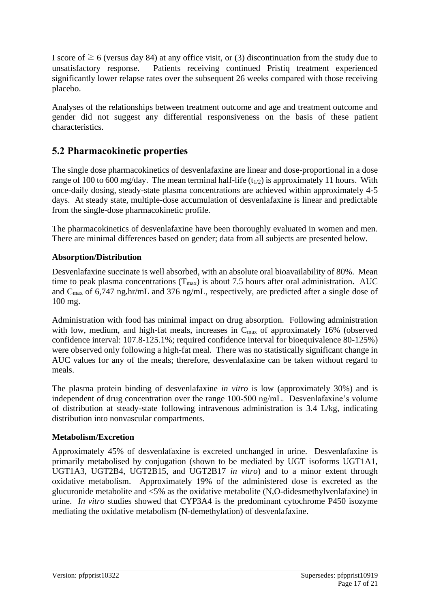I score of  $\geq 6$  (versus day 84) at any office visit, or (3) discontinuation from the study due to unsatisfactory response. Patients receiving continued Pristiq treatment experienced significantly lower relapse rates over the subsequent 26 weeks compared with those receiving placebo.

Analyses of the relationships between treatment outcome and age and treatment outcome and gender did not suggest any differential responsiveness on the basis of these patient characteristics.

# **5.2 Pharmacokinetic properties**

The single dose pharmacokinetics of desvenlafaxine are linear and dose-proportional in a dose range of 100 to 600 mg/day. The mean terminal half-life  $(t_{1/2})$  is approximately 11 hours. With once-daily dosing, steady-state plasma concentrations are achieved within approximately 4-5 days. At steady state, multiple-dose accumulation of desvenlafaxine is linear and predictable from the single-dose pharmacokinetic profile.

The pharmacokinetics of desvenlafaxine have been thoroughly evaluated in women and men. There are minimal differences based on gender; data from all subjects are presented below.

### **Absorption/Distribution**

Desvenlafaxine succinate is well absorbed, with an absolute oral bioavailability of 80%. Mean time to peak plasma concentrations  $(T_{max})$  is about 7.5 hours after oral administration. AUC and Cmax of 6,747 ng**.**hr/mL and 376 ng/mL, respectively, are predicted after a single dose of 100 mg.

Administration with food has minimal impact on drug absorption. Following administration with low, medium, and high-fat meals, increases in C<sub>max</sub> of approximately 16% (observed confidence interval: 107.8-125.1%; required confidence interval for bioequivalence 80-125%) were observed only following a high-fat meal. There was no statistically significant change in AUC values for any of the meals; therefore, desvenlafaxine can be taken without regard to meals.

The plasma protein binding of desvenlafaxine *in vitro* is low (approximately 30%) and is independent of drug concentration over the range 100-500 ng/mL. Desvenlafaxine's volume of distribution at steady-state following intravenous administration is 3.4 L/kg, indicating distribution into nonvascular compartments.

### **Metabolism/Excretion**

Approximately 45% of desvenlafaxine is excreted unchanged in urine. Desvenlafaxine is primarily metabolised by conjugation (shown to be mediated by UGT isoforms UGT1A1, UGT1A3, UGT2B4, UGT2B15, and UGT2B17 *in vitro*) and to a minor extent through oxidative metabolism. Approximately 19% of the administered dose is excreted as the glucuronide metabolite and <5% as the oxidative metabolite (N,O-didesmethylvenlafaxine) in urine. *In vitro* studies showed that CYP3A4 is the predominant cytochrome P450 isozyme mediating the oxidative metabolism (N-demethylation) of desvenlafaxine.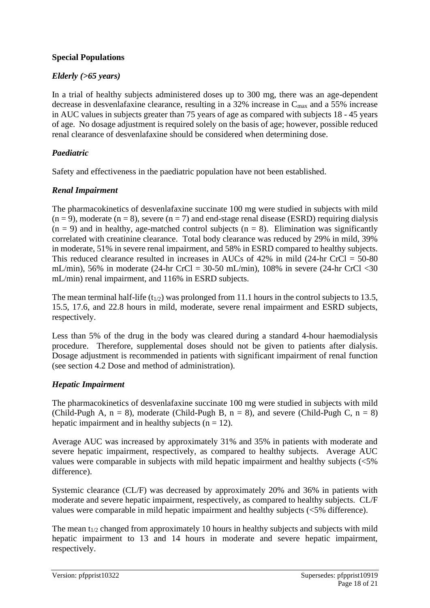#### **Special Populations**

#### *Elderly (>65 years)*

In a trial of healthy subjects administered doses up to 300 mg, there was an age-dependent decrease in desvenlafaxine clearance, resulting in a 32% increase in  $C_{\text{max}}$  and a 55% increase in AUC values in subjects greater than 75 years of age as compared with subjects 18 - 45 years of age. No dosage adjustment is required solely on the basis of age; however, possible reduced renal clearance of desvenlafaxine should be considered when determining dose.

#### *Paediatric*

Safety and effectiveness in the paediatric population have not been established.

#### *Renal Impairment*

The pharmacokinetics of desvenlafaxine succinate 100 mg were studied in subjects with mild  $(n = 9)$ , moderate  $(n = 8)$ , severe  $(n = 7)$  and end-stage renal disease (ESRD) requiring dialysis  $(n = 9)$  and in healthy, age-matched control subjects  $(n = 8)$ . Elimination was significantly correlated with creatinine clearance. Total body clearance was reduced by 29% in mild, 39% in moderate, 51% in severe renal impairment, and 58% in ESRD compared to healthy subjects. This reduced clearance resulted in increases in AUCs of  $42\%$  in mild (24-hr CrCl = 50-80) mL/min), 56% in moderate (24-hr CrCl = 30-50 mL/min), 108% in severe (24-hr CrCl <30 mL/min) renal impairment, and 116% in ESRD subjects.

The mean terminal half-life (t<sub>1/2</sub>) was prolonged from 11.1 hours in the control subjects to 13.5, 15.5, 17.6, and 22.8 hours in mild, moderate, severe renal impairment and ESRD subjects, respectively.

Less than 5% of the drug in the body was cleared during a standard 4-hour haemodialysis procedure. Therefore, supplemental doses should not be given to patients after dialysis. Dosage adjustment is recommended in patients with significant impairment of renal function (see section 4.2 Dose and method of administration).

#### *Hepatic Impairment*

The pharmacokinetics of desvenlafaxine succinate 100 mg were studied in subjects with mild (Child-Pugh A,  $n = 8$ ), moderate (Child-Pugh B,  $n = 8$ ), and severe (Child-Pugh C,  $n = 8$ ) hepatic impairment and in healthy subjects  $(n = 12)$ .

Average AUC was increased by approximately 31% and 35% in patients with moderate and severe hepatic impairment, respectively, as compared to healthy subjects. Average AUC values were comparable in subjects with mild hepatic impairment and healthy subjects (<5% difference).

Systemic clearance (CL/F) was decreased by approximately 20% and 36% in patients with moderate and severe hepatic impairment, respectively, as compared to healthy subjects. CL/F values were comparable in mild hepatic impairment and healthy subjects (<5% difference).

The mean  $t_{1/2}$  changed from approximately 10 hours in healthy subjects and subjects with mild hepatic impairment to 13 and 14 hours in moderate and severe hepatic impairment, respectively.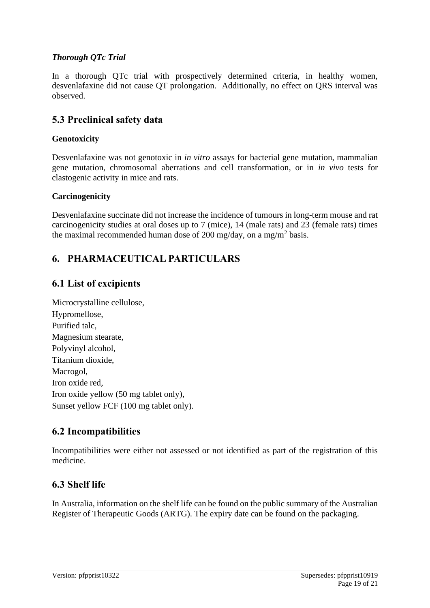### *Thorough QTc Trial*

In a thorough QTc trial with prospectively determined criteria, in healthy women, desvenlafaxine did not cause QT prolongation. Additionally, no effect on QRS interval was observed.

# **5.3 Preclinical safety data**

#### **Genotoxicity**

Desvenlafaxine was not genotoxic in *in vitro* assays for bacterial gene mutation, mammalian gene mutation, chromosomal aberrations and cell transformation, or in *in vivo* tests for clastogenic activity in mice and rats.

#### **Carcinogenicity**

Desvenlafaxine succinate did not increase the incidence of tumours in long-term mouse and rat carcinogenicity studies at oral doses up to 7 (mice), 14 (male rats) and 23 (female rats) times the maximal recommended human dose of 200 mg/day, on a mg/m<sup>2</sup> basis.

# **6. PHARMACEUTICAL PARTICULARS**

# **6.1 List of excipients**

| Microcrystalline cellulose,             |
|-----------------------------------------|
| Hypromellose,                           |
| Purified talc,                          |
| Magnesium stearate,                     |
| Polyvinyl alcohol,                      |
| Titanium dioxide,                       |
| Macrogol,                               |
| Iron oxide red,                         |
| Iron oxide yellow (50 mg tablet only),  |
| Sunset yellow FCF (100 mg tablet only). |

# **6.2 Incompatibilities**

Incompatibilities were either not assessed or not identified as part of the registration of this medicine.

# **6.3 Shelf life**

In Australia, information on the shelf life can be found on the public summary of the Australian Register of Therapeutic Goods (ARTG). The expiry date can be found on the packaging.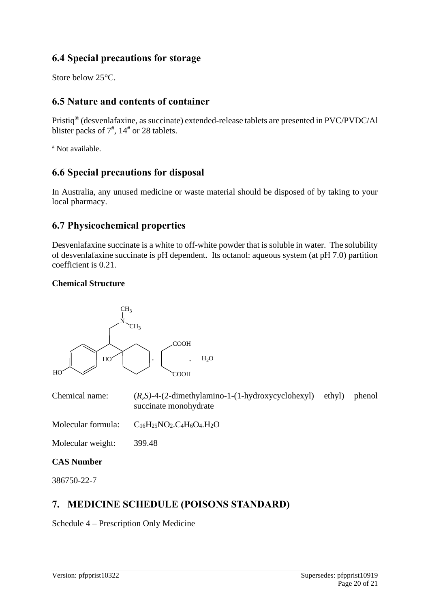# **6.4 Special precautions for storage**

Store below 25°C.

# **6.5 Nature and contents of container**

Pristiq® (desvenlafaxine, as succinate) extended-release tablets are presented in PVC/PVDC/Al blister packs of  $7^{\frac{4}{7}}$ ,  $14^{\frac{4}{7}}$  or 28 tablets.

# Not available.

# **6.6 Special precautions for disposal**

In Australia, any unused medicine or waste material should be disposed of by taking to your local pharmacy.

# **6.7 Physicochemical properties**

Desvenlafaxine succinate is a white to off-white powder that is soluble in water. The solubility of desvenlafaxine succinate is pH dependent. Its octanol: aqueous system (at pH 7.0) partition coefficient is 0.21.

#### **Chemical Structure**



Chemical name: (*R,S)*-4-(2-dimethylamino-1-(1-hydroxycyclohexyl) ethyl) phenol succinate monohydrate

Molecular formula:  $C_{16}H_{25}NO_2.C_4H_6O_4.H_2O$ 

Molecular weight: 399.48

### **CAS Number**

386750-22-7

# **7. MEDICINE SCHEDULE (POISONS STANDARD)**

Schedule 4 – Prescription Only Medicine